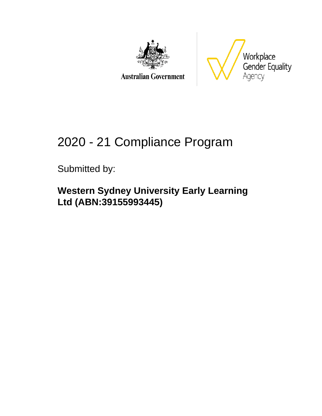

**Australian Government** 



# 2020 - 21 Compliance Program

Submitted by:

**Western Sydney University Early Learning Ltd (ABN:39155993445)**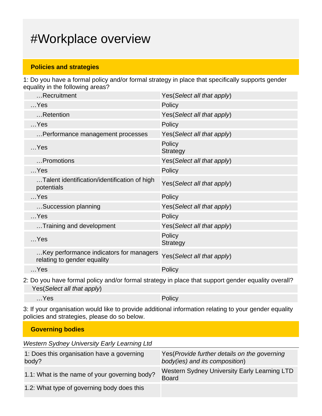## #Workplace overview

### **Policies and strategies**

1: Do you have a formal policy and/or formal strategy in place that specifically supports gender equality in the following areas?

| Recruitment                                                            | Yes(Select all that apply)  |
|------------------------------------------------------------------------|-----------------------------|
| $$ Yes                                                                 | Policy                      |
| Retention                                                              | Yes(Select all that apply)  |
| $$ Yes                                                                 | Policy                      |
| Performance management processes                                       | Yes (Select all that apply) |
| $$ Yes                                                                 | Policy<br>Strategy          |
| Promotions                                                             | Yes (Select all that apply) |
| $$ Yes                                                                 | Policy                      |
| Talent identification/identification of high<br>potentials             | Yes(Select all that apply)  |
| $$ Yes                                                                 | Policy                      |
| Succession planning                                                    | Yes(Select all that apply)  |
| $$ Yes                                                                 | Policy                      |
| Training and development                                               | Yes(Select all that apply)  |
| $$ Yes                                                                 | Policy<br><b>Strategy</b>   |
| Key performance indicators for managers<br>relating to gender equality | Yes(Select all that apply)  |
| $$ Yes                                                                 | Policy                      |
|                                                                        |                             |

2: Do you have formal policy and/or formal strategy in place that support gender equality overall? Yes(Select all that apply)

…Yes Policy

3: If your organisation would like to provide additional information relating to your gender equality policies and strategies, please do so below.

| <b>Governing bodies</b>                             |                                                                                 |  |
|-----------------------------------------------------|---------------------------------------------------------------------------------|--|
| <b>Western Sydney University Early Learning Ltd</b> |                                                                                 |  |
| 1: Does this organisation have a governing<br>body? | Yes (Provide further details on the governing<br>body(ies) and its composition) |  |
| 1.1: What is the name of your governing body?       | Western Sydney University Early Learning LTD<br><b>Board</b>                    |  |
| 1.2: What type of governing body does this          |                                                                                 |  |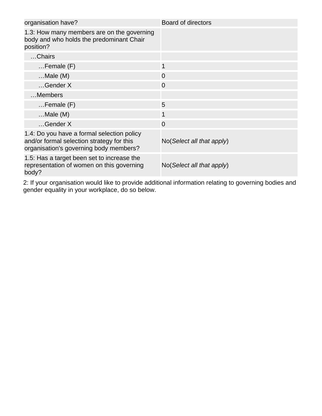| organisation have?                                                                                                                | <b>Board of directors</b>            |
|-----------------------------------------------------------------------------------------------------------------------------------|--------------------------------------|
| 1.3: How many members are on the governing<br>body and who holds the predominant Chair<br>position?                               |                                      |
| Chairs                                                                                                                            |                                      |
| $F$ emale $(F)$                                                                                                                   | $\mathbf{1}$                         |
| $$ Male $(M)$                                                                                                                     | $\overline{0}$                       |
| $$ Gender X                                                                                                                       | $\overline{0}$                       |
| Members                                                                                                                           |                                      |
| $F$ emale $(F)$                                                                                                                   | 5                                    |
| $$ Male $(M)$                                                                                                                     | 1                                    |
| $$ Gender X                                                                                                                       | $\overline{0}$                       |
| 1.4: Do you have a formal selection policy<br>and/or formal selection strategy for this<br>organisation's governing body members? | $No(Select \textit{all} that apply)$ |
| 1.5: Has a target been set to increase the<br>representation of women on this governing<br>body?                                  | $No(Select \textit{all} that apply)$ |

2: If your organisation would like to provide additional information relating to governing bodies and gender equality in your workplace, do so below.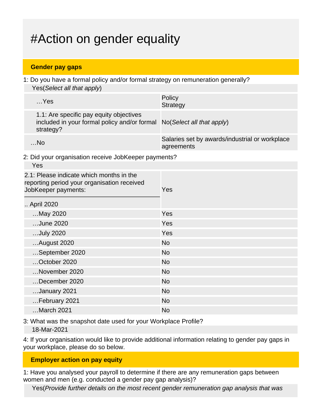# #Action on gender equality

#### **Gender pay gaps**

1: Do you have a formal policy and/or formal strategy on remuneration generally? Yes(Select all that apply)

| $$ Yes                                                                                                                         | Policy<br><b>Strategy</b>                                    |
|--------------------------------------------------------------------------------------------------------------------------------|--------------------------------------------------------------|
| 1.1: Are specific pay equity objectives<br>included in your formal policy and/or formal No(Select all that apply)<br>strategy? |                                                              |
| $$ No                                                                                                                          | Salaries set by awards/industrial or workplace<br>agreements |

2: Did your organisation receive JobKeeper payments?

| Yes       |
|-----------|
|           |
| Yes       |
| Yes       |
| Yes       |
| <b>No</b> |
| <b>No</b> |
| <b>No</b> |
| <b>No</b> |
| <b>No</b> |
| <b>No</b> |
| <b>No</b> |
| <b>No</b> |
|           |

3: What was the snapshot date used for your Workplace Profile?

18-Mar-2021

4: If your organisation would like to provide additional information relating to gender pay gaps in your workplace, please do so below.

#### **Employer action on pay equity**

1: Have you analysed your payroll to determine if there are any remuneration gaps between women and men (e.g. conducted a gender pay gap analysis)?

Yes(Provide further details on the most recent gender remuneration gap analysis that was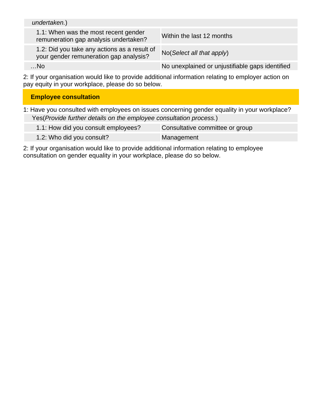| undertaken.)                                                                           |                                                 |
|----------------------------------------------------------------------------------------|-------------------------------------------------|
| 1.1: When was the most recent gender<br>remuneration gap analysis undertaken?          | Within the last 12 months                       |
| 1.2: Did you take any actions as a result of<br>your gender remuneration gap analysis? | $No(Select \textit{all} that apply)$            |
| No                                                                                     | No unexplained or unjustifiable gaps identified |

2: If your organisation would like to provide additional information relating to employer action on pay equity in your workplace, please do so below.

| <b>Employee consultation</b>                                                                 |
|----------------------------------------------------------------------------------------------|
| 1: Have you consulted with employees on issues concerning gender equality in your workplace? |
| Yes (Provide further details on the employee consultation process.)                          |

| 1.1: How did you consult employees? | Consultative committee or group |
|-------------------------------------|---------------------------------|
| 1.2: Who did you consult?           | Management                      |

2: If your organisation would like to provide additional information relating to employee consultation on gender equality in your workplace, please do so below.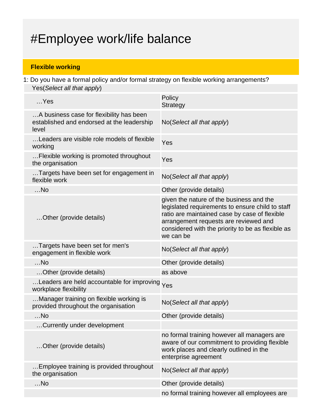# #Employee work/life balance

### **Flexible working**

1: Do you have a formal policy and/or formal strategy on flexible working arrangements? Yes(Select all that apply)

| $$ Yes                                                                                          | Policy<br><b>Strategy</b>                                                                                                                                                                                                                                |
|-------------------------------------------------------------------------------------------------|----------------------------------------------------------------------------------------------------------------------------------------------------------------------------------------------------------------------------------------------------------|
| A business case for flexibility has been<br>established and endorsed at the leadership<br>level | No(Select all that apply)                                                                                                                                                                                                                                |
| Leaders are visible role models of flexible<br>working                                          | Yes                                                                                                                                                                                                                                                      |
| Flexible working is promoted throughout<br>the organisation                                     | Yes                                                                                                                                                                                                                                                      |
| Targets have been set for engagement in<br>flexible work                                        | No(Select all that apply)                                                                                                                                                                                                                                |
| $$ No                                                                                           | Other (provide details)                                                                                                                                                                                                                                  |
| Other (provide details)                                                                         | given the nature of the business and the<br>legislated requirements to ensure child to staff<br>ratio are maintained case by case of flexible<br>arrangement requests are reviewed and<br>considered with the priority to be as flexible as<br>we can be |
| Targets have been set for men's<br>engagement in flexible work                                  | No(Select all that apply)                                                                                                                                                                                                                                |
| $$ No                                                                                           | Other (provide details)                                                                                                                                                                                                                                  |
| Other (provide details)                                                                         | as above                                                                                                                                                                                                                                                 |
| Leaders are held accountable for improving Yes<br>workplace flexibility                         |                                                                                                                                                                                                                                                          |
| Manager training on flexible working is<br>provided throughout the organisation                 | No(Select all that apply)                                                                                                                                                                                                                                |
| $$ No                                                                                           | Other (provide details)                                                                                                                                                                                                                                  |
| Currently under development                                                                     |                                                                                                                                                                                                                                                          |
| Other (provide details)                                                                         | no formal training however all managers are<br>aware of our commitment to providing flexible<br>work places and clearly outlined in the<br>enterprise agreement                                                                                          |
| Employee training is provided throughout<br>the organisation                                    | No(Select all that apply)                                                                                                                                                                                                                                |
| $$ No                                                                                           | Other (provide details)                                                                                                                                                                                                                                  |
|                                                                                                 | no formal training however all employees are                                                                                                                                                                                                             |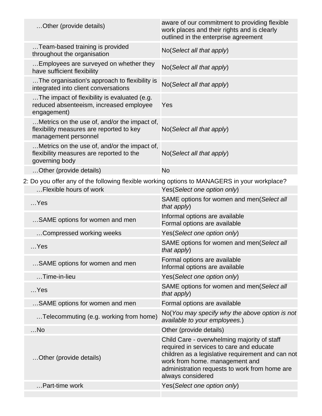|  | Other (provide details)                                                                                          | aware of our commitment to providing flexible<br>work places and their rights and is clearly<br>outlined in the enterprise agreement                                                                                                                 |
|--|------------------------------------------------------------------------------------------------------------------|------------------------------------------------------------------------------------------------------------------------------------------------------------------------------------------------------------------------------------------------------|
|  | Team-based training is provided<br>throughout the organisation                                                   | No(Select all that apply)                                                                                                                                                                                                                            |
|  | Employees are surveyed on whether they<br>have sufficient flexibility                                            | No(Select all that apply)                                                                                                                                                                                                                            |
|  | The organisation's approach to flexibility is<br>integrated into client conversations                            | No(Select all that apply)                                                                                                                                                                                                                            |
|  | The impact of flexibility is evaluated (e.g.<br>reduced absenteeism, increased employee<br>engagement)           | Yes                                                                                                                                                                                                                                                  |
|  | Metrics on the use of, and/or the impact of,<br>flexibility measures are reported to key<br>management personnel | No(Select all that apply)                                                                                                                                                                                                                            |
|  | Metrics on the use of, and/or the impact of,<br>flexibility measures are reported to the<br>governing body       | No(Select all that apply)                                                                                                                                                                                                                            |
|  | Other (provide details)                                                                                          | <b>No</b>                                                                                                                                                                                                                                            |
|  | 2: Do you offer any of the following flexible working options to MANAGERS in your workplace?                     |                                                                                                                                                                                                                                                      |
|  | Flexible hours of work                                                                                           | Yes(Select one option only)                                                                                                                                                                                                                          |
|  | $$ Yes                                                                                                           | SAME options for women and men(Select all<br>that apply)                                                                                                                                                                                             |
|  | SAME options for women and men                                                                                   | Informal options are available<br>Formal options are available                                                                                                                                                                                       |
|  | Compressed working weeks                                                                                         | Yes(Select one option only)                                                                                                                                                                                                                          |
|  | $$ Yes                                                                                                           | SAME options for women and men(Select all<br>that apply)                                                                                                                                                                                             |
|  | SAME options for women and men                                                                                   | Formal options are available<br>Informal options are available                                                                                                                                                                                       |
|  | Time-in-lieu                                                                                                     | Yes(Select one option only)                                                                                                                                                                                                                          |
|  | $$ Yes                                                                                                           | SAME options for women and men(Select all<br>that apply)                                                                                                                                                                                             |
|  | SAME options for women and men                                                                                   | Formal options are available                                                                                                                                                                                                                         |
|  | Telecommuting (e.g. working from home)                                                                           | No(You may specify why the above option is not<br>available to your employees.)                                                                                                                                                                      |
|  | $$ No                                                                                                            | Other (provide details)                                                                                                                                                                                                                              |
|  | Other (provide details)                                                                                          | Child Care - overwhelming majority of staff<br>required in services to care and educate<br>children as a legislative requirement and can not<br>work from home. management and<br>administration requests to work from home are<br>always considered |
|  | Part-time work                                                                                                   | Yes(Select one option only)                                                                                                                                                                                                                          |
|  |                                                                                                                  |                                                                                                                                                                                                                                                      |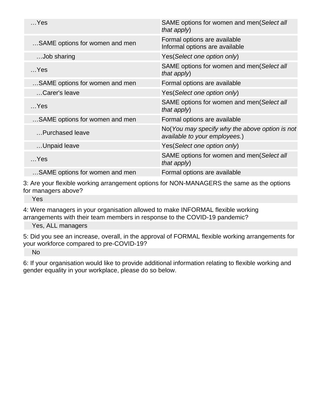| $$ Yes                         | SAME options for women and men(Select all<br>that apply)                        |
|--------------------------------|---------------------------------------------------------------------------------|
| SAME options for women and men | Formal options are available<br>Informal options are available                  |
| Job sharing                    | Yes(Select one option only)                                                     |
| $$ Yes                         | SAME options for women and men(Select all<br>that apply)                        |
| SAME options for women and men | Formal options are available                                                    |
| Carer's leave                  | Yes(Select one option only)                                                     |
| $$ Yes                         | SAME options for women and men(Select all<br>that apply)                        |
| SAME options for women and men | Formal options are available                                                    |
| Purchased leave                | No(You may specify why the above option is not<br>available to your employees.) |
| Unpaid leave                   | Yes(Select one option only)                                                     |
| $$ Yes                         | SAME options for women and men(Select all<br>that apply)                        |
| SAME options for women and men | Formal options are available                                                    |

3: Are your flexible working arrangement options for NON-MANAGERS the same as the options for managers above?

Yes

4: Were managers in your organisation allowed to make INFORMAL flexible working arrangements with their team members in response to the COVID-19 pandemic?

Yes, ALL managers

5: Did you see an increase, overall, in the approval of FORMAL flexible working arrangements for your workforce compared to pre-COVID-19?

No

6: If your organisation would like to provide additional information relating to flexible working and gender equality in your workplace, please do so below.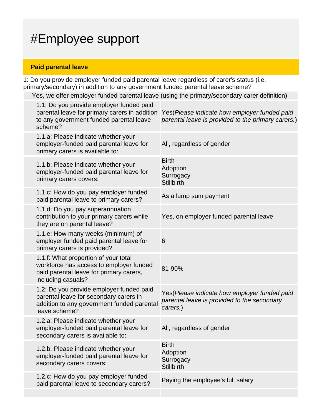# #Employee support

### **Paid parental leave**

1: Do you provide employer funded paid parental leave regardless of carer's status (i.e. primary/secondary) in addition to any government funded parental leave scheme?

Yes, we offer employer funded parental leave (using the primary/secondary carer definition)

| 1.1: Do you provide employer funded paid<br>parental leave for primary carers in addition<br>to any government funded parental leave<br>scheme?   | Yes (Please indicate how employer funded paid<br>parental leave is provided to the primary carers.)     |
|---------------------------------------------------------------------------------------------------------------------------------------------------|---------------------------------------------------------------------------------------------------------|
| 1.1.a: Please indicate whether your<br>employer-funded paid parental leave for<br>primary carers is available to:                                 | All, regardless of gender                                                                               |
| 1.1.b: Please indicate whether your<br>employer-funded paid parental leave for<br>primary carers covers:                                          | <b>Birth</b><br>Adoption<br>Surrogacy<br><b>Stillbirth</b>                                              |
| 1.1.c: How do you pay employer funded<br>paid parental leave to primary carers?                                                                   | As a lump sum payment                                                                                   |
| 1.1.d: Do you pay superannuation<br>contribution to your primary carers while<br>they are on parental leave?                                      | Yes, on employer funded parental leave                                                                  |
| 1.1.e: How many weeks (minimum) of<br>employer funded paid parental leave for<br>primary carers is provided?                                      | 6                                                                                                       |
| 1.1.f: What proportion of your total<br>workforce has access to employer funded<br>paid parental leave for primary carers,<br>including casuals?  | 81-90%                                                                                                  |
| 1.2: Do you provide employer funded paid<br>parental leave for secondary carers in<br>addition to any government funded parental<br>leave scheme? | Yes(Please indicate how employer funded paid<br>parental leave is provided to the secondary<br>carers.) |
| 1.2.a: Please indicate whether your<br>employer-funded paid parental leave for<br>secondary carers is available to:                               | All, regardless of gender                                                                               |
| 1.2.b: Please indicate whether your<br>employer-funded paid parental leave for<br>secondary carers covers:                                        | <b>Birth</b><br>Adoption<br>Surrogacy<br><b>Stillbirth</b>                                              |
| 1.2.c: How do you pay employer funded<br>paid parental leave to secondary carers?                                                                 | Paying the employee's full salary                                                                       |
|                                                                                                                                                   |                                                                                                         |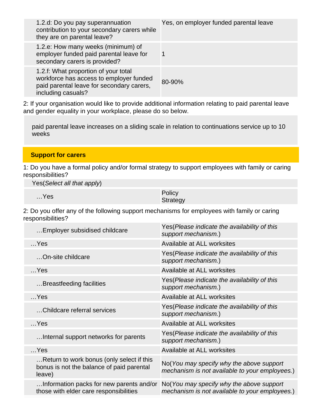| 1.2.d: Do you pay superannuation<br>contribution to your secondary carers while<br>they are on parental leave?                                     | Yes, on employer funded parental leave |
|----------------------------------------------------------------------------------------------------------------------------------------------------|----------------------------------------|
| 1.2.e: How many weeks (minimum) of<br>employer funded paid parental leave for<br>secondary carers is provided?                                     |                                        |
| 1.2.f: What proportion of your total<br>workforce has access to employer funded<br>paid parental leave for secondary carers,<br>including casuals? | 80-90%                                 |

2: If your organisation would like to provide additional information relating to paid parental leave and gender equality in your workplace, please do so below.

paid parental leave increases on a sliding scale in relation to continuations service up to 10 weeks

#### **Support for carers**

1: Do you have a formal policy and/or formal strategy to support employees with family or caring responsibilities?

Yes(Select all that apply)

| $$ Yes | Policy   |
|--------|----------|
|        | Strategy |

2: Do you offer any of the following support mechanisms for employees with family or caring responsibilities?

| Employer subsidised childcare                                                                    | Yes (Please indicate the availability of this<br>support mechanism.)                        |
|--------------------------------------------------------------------------------------------------|---------------------------------------------------------------------------------------------|
| $$ Yes                                                                                           | Available at ALL worksites                                                                  |
| On-site childcare                                                                                | Yes(Please indicate the availability of this<br>support mechanism.)                         |
| $\sim$ Yes                                                                                       | Available at ALL worksites                                                                  |
| Breastfeeding facilities                                                                         | Yes(Please indicate the availability of this<br>support mechanism.)                         |
| $$ Yes                                                                                           | Available at ALL worksites                                                                  |
| Childcare referral services                                                                      | Yes(Please indicate the availability of this<br>support mechanism.)                         |
| $$ Yes                                                                                           | Available at ALL worksites                                                                  |
| Internal support networks for parents                                                            | Yes (Please indicate the availability of this<br>support mechanism.)                        |
| $$ Yes                                                                                           | Available at ALL worksites                                                                  |
| Return to work bonus (only select if this<br>bonus is not the balance of paid parental<br>leave) | No(You may specify why the above support<br>mechanism is not available to your employees.)  |
| Information packs for new parents and/or<br>those with elder care responsibilities               | No (You may specify why the above support<br>mechanism is not available to your employees.) |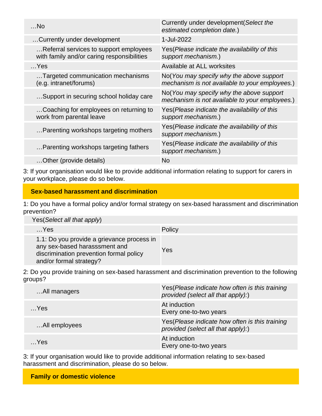| $$ No                                                                                | Currently under development (Select the<br>estimated completion date.)                     |
|--------------------------------------------------------------------------------------|--------------------------------------------------------------------------------------------|
| Currently under development                                                          | 1-Jul-2022                                                                                 |
| Referral services to support employees<br>with family and/or caring responsibilities | Yes (Please indicate the availability of this<br>support mechanism.)                       |
| $$ Yes                                                                               | Available at ALL worksites                                                                 |
| Targeted communication mechanisms<br>(e.g. intranet/forums)                          | No(You may specify why the above support<br>mechanism is not available to your employees.) |
| Support in securing school holiday care                                              | No(You may specify why the above support<br>mechanism is not available to your employees.) |
| Coaching for employees on returning to<br>work from parental leave                   | Yes (Please indicate the availability of this<br>support mechanism.)                       |
| Parenting workshops targeting mothers                                                | Yes (Please indicate the availability of this<br>support mechanism.)                       |
| Parenting workshops targeting fathers                                                | Yes(Please indicate the availability of this<br>support mechanism.)                        |
| Other (provide details)                                                              | <b>No</b>                                                                                  |

3: If your organisation would like to provide additional information relating to support for carers in your workplace, please do so below.

#### **Sex-based harassment and discrimination**

1: Do you have a formal policy and/or formal strategy on sex-based harassment and discrimination prevention?

| Yes (Select all that apply)                                                                                                                       |        |
|---------------------------------------------------------------------------------------------------------------------------------------------------|--------|
| $$ Yes                                                                                                                                            | Policy |
| 1.1: Do you provide a grievance process in<br>any sex-based harasssment and<br>discrimination prevention formal policy<br>and/or formal strategy? | Yes    |

2: Do you provide training on sex-based harassment and discrimination prevention to the following groups?

| All managers  | Yes (Please indicate how often is this training<br>provided (select all that apply):) |
|---------------|---------------------------------------------------------------------------------------|
| $$ Yes        | At induction<br>Every one-to-two years                                                |
| All employees | Yes (Please indicate how often is this training<br>provided (select all that apply):) |
| Yes           | At induction<br>Every one-to-two years                                                |

3: If your organisation would like to provide additional information relating to sex-based harassment and discrimination, please do so below.

**Family or domestic violence**